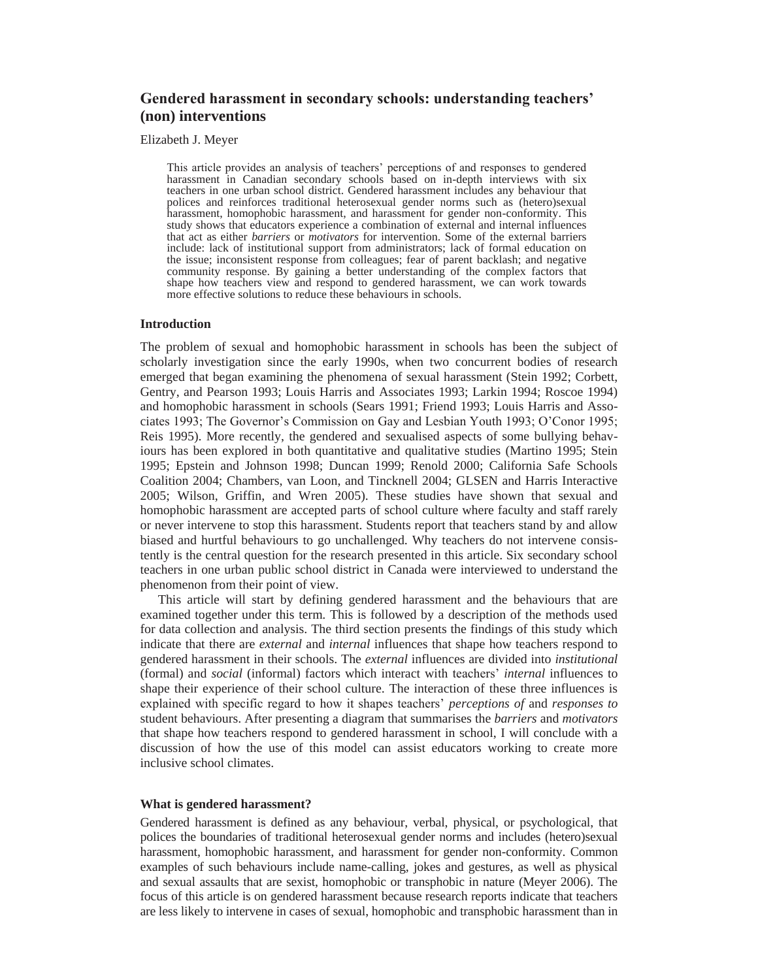# **Gendered harassment in secondary schools: understanding teachers' (non) interventions**

## Elizabeth J. Meyer

This article provides an analysis of teachers' perceptions of and responses to gendered harassment in Canadian secondary schools based on in-depth interviews with six teachers in one urban school district. Gendered harassment includes any behaviour that polices and reinforces traditional heterosexual gender norms such as (hetero)sexual harassment, homophobic harassment, and harassment for gender non-conformity. This study shows that educators experience a combination of external and internal influences that act as either *barriers* or *motivators* for intervention. Some of the external barriers include: lack of institutional support from administrators; lack of formal education on the issue; inconsistent response from colleagues; fear of parent backlash; and negative community response. By gaining a better understanding of the complex factors that shape how teachers view and respond to gendered harassment, we can work towards more effective solutions to reduce these behaviours in schools.

### **Introduction**

The problem of sexual and homophobic harassment in schools has been the subject of scholarly investigation since the early 1990s, when two concurrent bodies of research emerged that began examining the phenomena of sexual harassment (Stein 1992; Corbett, Gentry, and Pearson 1993; Louis Harris and Associates 1993; Larkin 1994; Roscoe 1994) and homophobic harassment in schools (Sears 1991; Friend 1993; Louis Harris and Associates 1993; The Governor's Commission on Gay and Lesbian Youth 1993; O'Conor 1995; Reis 1995). More recently, the gendered and sexualised aspects of some bullying behaviours has been explored in both quantitative and qualitative studies (Martino 1995; Stein 1995; Epstein and Johnson 1998; Duncan 1999; Renold 2000; California Safe Schools Coalition 2004; Chambers, van Loon, and Tincknell 2004; GLSEN and Harris Interactive 2005; Wilson, Griffin, and Wren 2005). These studies have shown that sexual and homophobic harassment are accepted parts of school culture where faculty and staff rarely or never intervene to stop this harassment. Students report that teachers stand by and allow biased and hurtful behaviours to go unchallenged. Why teachers do not intervene consistently is the central question for the research presented in this article. Six secondary school teachers in one urban public school district in Canada were interviewed to understand the phenomenon from their point of view.

This article will start by defining gendered harassment and the behaviours that are examined together under this term. This is followed by a description of the methods used for data collection and analysis. The third section presents the findings of this study which indicate that there are *external* and *internal* influences that shape how teachers respond to gendered harassment in their schools. The *external* influences are divided into *institutional*  (formal) and *social* (informal) factors which interact with teachers' *internal* influences to shape their experience of their school culture. The interaction of these three influences is explained with specific regard to how it shapes teachers' *perceptions of* and *responses to*  student behaviours. After presenting a diagram that summarises the *barriers* and *motivators*  that shape how teachers respond to gendered harassment in school, I will conclude with a discussion of how the use of this model can assist educators working to create more inclusive school climates.

## **What is gendered harassment?**

Gendered harassment is defined as any behaviour, verbal, physical, or psychological, that polices the boundaries of traditional heterosexual gender norms and includes (hetero)sexual harassment, homophobic harassment, and harassment for gender non-conformity. Common examples of such behaviours include name-calling, jokes and gestures, as well as physical and sexual assaults that are sexist, homophobic or transphobic in nature (Meyer 2006). The focus of this article is on gendered harassment because research reports indicate that teachers are less likely to intervene in cases of sexual, homophobic and transphobic harassment than in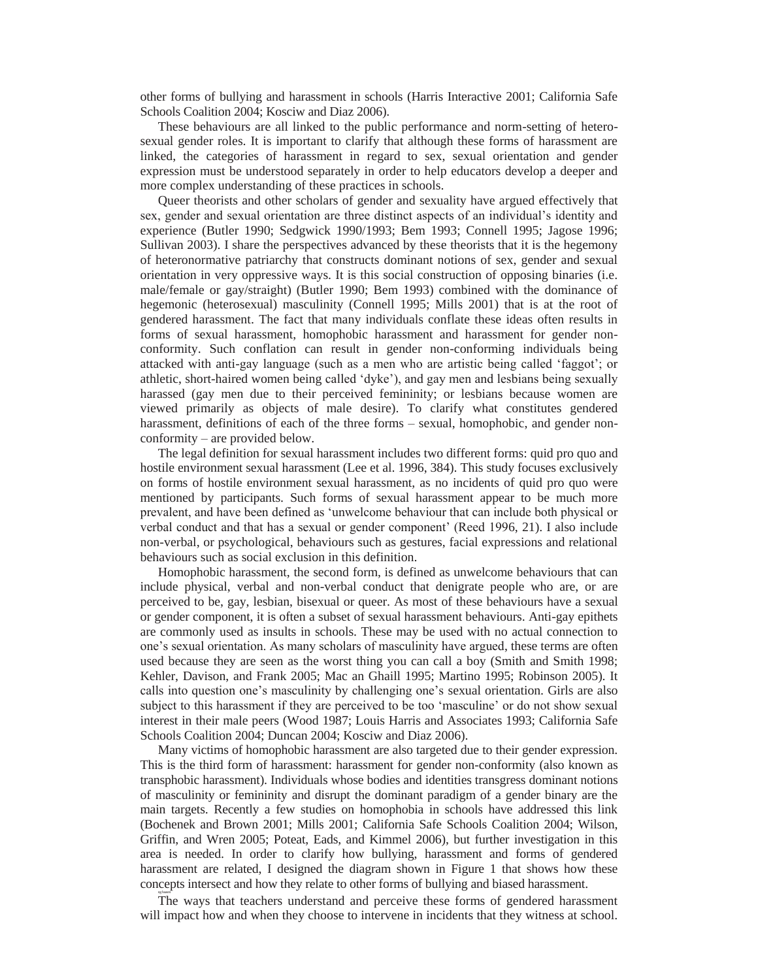other forms of bullying and harassment in schools (Harris Interactive 2001; California Safe Schools Coalition 2004; Kosciw and Diaz 2006).

These behaviours are all linked to the public performance and norm-setting of heterosexual gender roles. It is important to clarify that although these forms of harassment are linked, the categories of harassment in regard to sex, sexual orientation and gender expression must be understood separately in order to help educators develop a deeper and more complex understanding of these practices in schools.

Queer theorists and other scholars of gender and sexuality have argued effectively that sex, gender and sexual orientation are three distinct aspects of an individual's identity and experience (Butler 1990; Sedgwick 1990/1993; Bem 1993; Connell 1995; Jagose 1996; Sullivan 2003). I share the perspectives advanced by these theorists that it is the hegemony of heteronormative patriarchy that constructs dominant notions of sex, gender and sexual orientation in very oppressive ways. It is this social construction of opposing binaries (i.e. male/female or gay/straight) (Butler 1990; Bem 1993) combined with the dominance of hegemonic (heterosexual) masculinity (Connell 1995; Mills 2001) that is at the root of gendered harassment. The fact that many individuals conflate these ideas often results in forms of sexual harassment, homophobic harassment and harassment for gender nonconformity. Such conflation can result in gender non-conforming individuals being attacked with anti-gay language (such as a men who are artistic being called 'faggot'; or athletic, short-haired women being called 'dyke'), and gay men and lesbians being sexually harassed (gay men due to their perceived femininity; or lesbians because women are viewed primarily as objects of male desire). To clarify what constitutes gendered harassment, definitions of each of the three forms – sexual, homophobic, and gender nonconformity – are provided below.

The legal definition for sexual harassment includes two different forms: quid pro quo and hostile environment sexual harassment (Lee et al. 1996, 384). This study focuses exclusively on forms of hostile environment sexual harassment, as no incidents of quid pro quo were mentioned by participants. Such forms of sexual harassment appear to be much more prevalent, and have been defined as 'unwelcome behaviour that can include both physical or verbal conduct and that has a sexual or gender component' (Reed 1996, 21). I also include non-verbal, or psychological, behaviours such as gestures, facial expressions and relational behaviours such as social exclusion in this definition.

Homophobic harassment, the second form, is defined as unwelcome behaviours that can include physical, verbal and non-verbal conduct that denigrate people who are, or are perceived to be, gay, lesbian, bisexual or queer. As most of these behaviours have a sexual or gender component, it is often a subset of sexual harassment behaviours. Anti-gay epithets are commonly used as insults in schools. These may be used with no actual connection to one's sexual orientation. As many scholars of masculinity have argued, these terms are often used because they are seen as the worst thing you can call a boy (Smith and Smith 1998; Kehler, Davison, and Frank 2005; Mac an Ghaill 1995; Martino 1995; Robinson 2005). It calls into question one's masculinity by challenging one's sexual orientation. Girls are also subject to this harassment if they are perceived to be too 'masculine' or do not show sexual interest in their male peers (Wood 1987; Louis Harris and Associates 1993; California Safe Schools Coalition 2004; Duncan 2004; Kosciw and Diaz 2006).

Many victims of homophobic harassment are also targeted due to their gender expression. This is the third form of harassment: harassment for gender non-conformity (also known as transphobic harassment). Individuals whose bodies and identities transgress dominant notions of masculinity or femininity and disrupt the dominant paradigm of a gender binary are the main targets. Recently a few studies on homophobia in schools have addressed this link (Bochenek and Brown 2001; Mills 2001; California Safe Schools Coalition 2004; Wilson, Griffin, and Wren 2005; Poteat, Eads, and Kimmel 2006), but further investigation in this area is needed. In order to clarify how bullying, harassment and forms of gendered harassment are related, I designed the diagram shown in Figure 1 that shows how these concepts intersect and how they relate to other forms of bullying and biased harassment.

The ways that teachers understand and perceive these forms of gendered harassment will impact how and when they choose to intervene in incidents that they witness at school.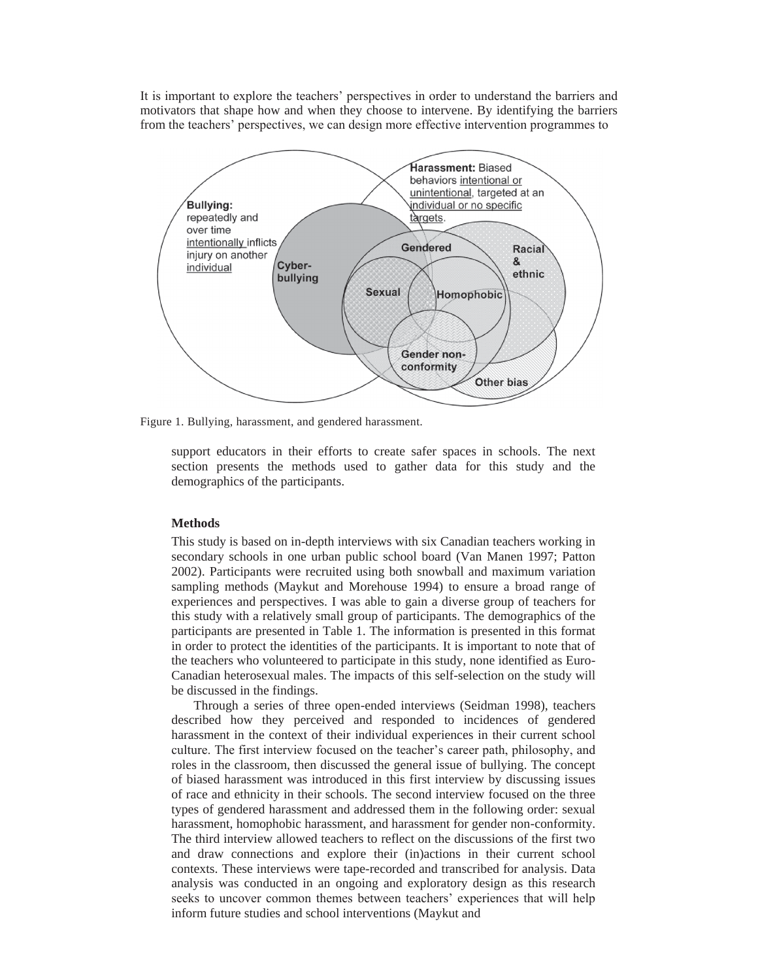It is important to explore the teachers' perspectives in order to understand the barriers and motivators that shape how and when they choose to intervene. By identifying the barriers from the teachers' perspectives, we can design more effective intervention programmes to



Figure 1. Bullying, harassment, and gendered harassment.

support educators in their efforts to create safer spaces in schools. The next section presents the methods used to gather data for this study and the demographics of the participants.

## **Methods**

This study is based on in-depth interviews with six Canadian teachers working in secondary schools in one urban public school board (Van Manen 1997; Patton 2002). Participants were recruited using both snowball and maximum variation sampling methods (Maykut and Morehouse 1994) to ensure a broad range of experiences and perspectives. I was able to gain a diverse group of teachers for this study with a relatively small group of participants. The demographics of the participants are presented in Table 1. The information is presented in this format in order to protect the identities of the participants. It is important to note that of the teachers who volunteered to participate in this study, none identified as Euro-Canadian heterosexual males. The impacts of this self-selection on the study will be discussed in the findings.

Through a series of three open-ended interviews (Seidman 1998), teachers described how they perceived and responded to incidences of gendered harassment in the context of their individual experiences in their current school culture. The first interview focused on the teacher's career path, philosophy, and roles in the classroom, then discussed the general issue of bullying. The concept of biased harassment was introduced in this first interview by discussing issues of race and ethnicity in their schools. The second interview focused on the three types of gendered harassment and addressed them in the following order: sexual harassment, homophobic harassment, and harassment for gender non-conformity. The third interview allowed teachers to reflect on the discussions of the first two and draw connections and explore their (in)actions in their current school contexts. These interviews were tape-recorded and transcribed for analysis. Data analysis was conducted in an ongoing and exploratory design as this research seeks to uncover common themes between teachers' experiences that will help inform future studies and school interventions (Maykut and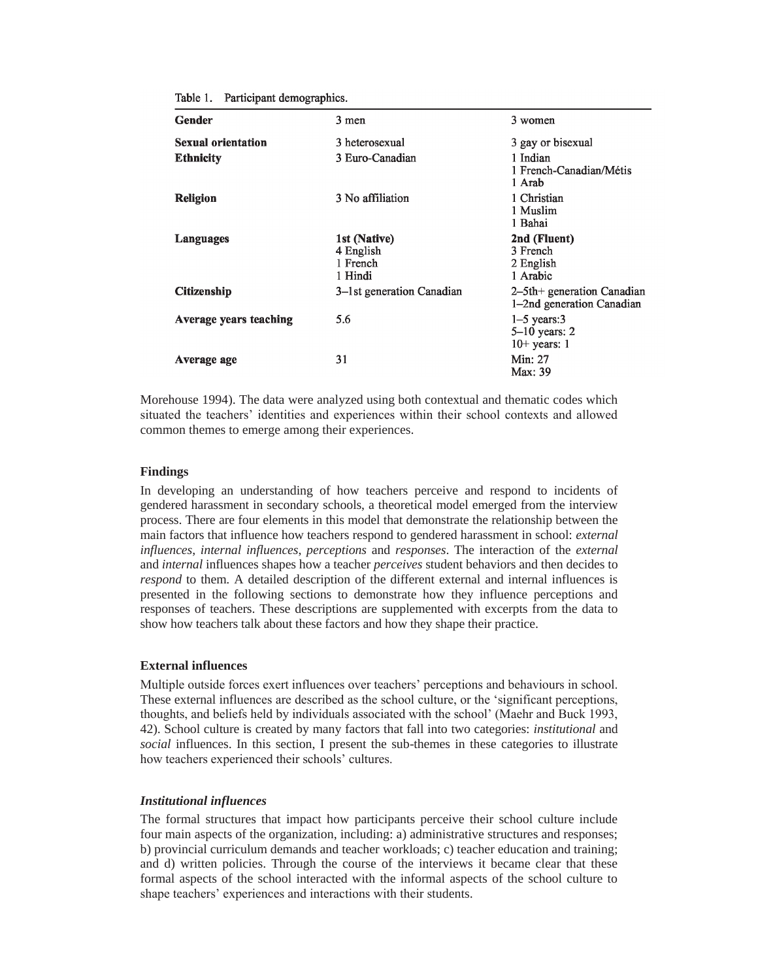| Gender                    | 3 men                                            | 3 women                                                    |
|---------------------------|--------------------------------------------------|------------------------------------------------------------|
| <b>Sexual orientation</b> | 3 heterosexual                                   | 3 gay or bisexual                                          |
| <b>Ethnicity</b>          | 3 Euro-Canadian                                  | 1 Indian<br>1 French-Canadian/Métis<br>1 Arab              |
| <b>Religion</b>           | 3 No affiliation                                 | 1 Christian<br>1 Muslim<br>1 Bahai                         |
| Languages                 | 1st (Native)<br>4 English<br>1 French<br>1 Hindi | 2nd (Fluent)<br>3 French<br>2 English<br>1 Arabic          |
| <b>Citizenship</b>        | 3–1st generation Canadian                        | $2-5th$ + generation Canadian<br>1-2nd generation Canadian |
| Average years teaching    | 5.6                                              | $1-5$ years: $3$<br>$5-10$ years: 2<br>$10+$ years: 1      |
| Average age               | 31                                               | Min: 27<br>Max: 39                                         |

Table 1. Participant demographics.

Morehouse 1994). The data were analyzed using both contextual and thematic codes which situated the teachers' identities and experiences within their school contexts and allowed common themes to emerge among their experiences.

## **Findings**

In developing an understanding of how teachers perceive and respond to incidents of gendered harassment in secondary schools, a theoretical model emerged from the interview process. There are four elements in this model that demonstrate the relationship between the main factors that influence how teachers respond to gendered harassment in school: *external influences*, *internal influences*, *perceptions* and *responses*. The interaction of the *external*  and *internal* influences shapes how a teacher *perceives* student behaviors and then decides to *respond* to them. A detailed description of the different external and internal influences is presented in the following sections to demonstrate how they influence perceptions and responses of teachers. These descriptions are supplemented with excerpts from the data to show how teachers talk about these factors and how they shape their practice.

## **External influences**

Multiple outside forces exert influences over teachers' perceptions and behaviours in school. These external influences are described as the school culture, or the 'significant perceptions, thoughts, and beliefs held by individuals associated with the school' (Maehr and Buck 1993, 42). School culture is created by many factors that fall into two categories: *institutional* and *social* influences. In this section, I present the sub-themes in these categories to illustrate how teachers experienced their schools' cultures.

## *Institutional influences*

The formal structures that impact how participants perceive their school culture include four main aspects of the organization, including: a) administrative structures and responses; b) provincial curriculum demands and teacher workloads; c) teacher education and training; and d) written policies. Through the course of the interviews it became clear that these formal aspects of the school interacted with the informal aspects of the school culture to shape teachers' experiences and interactions with their students.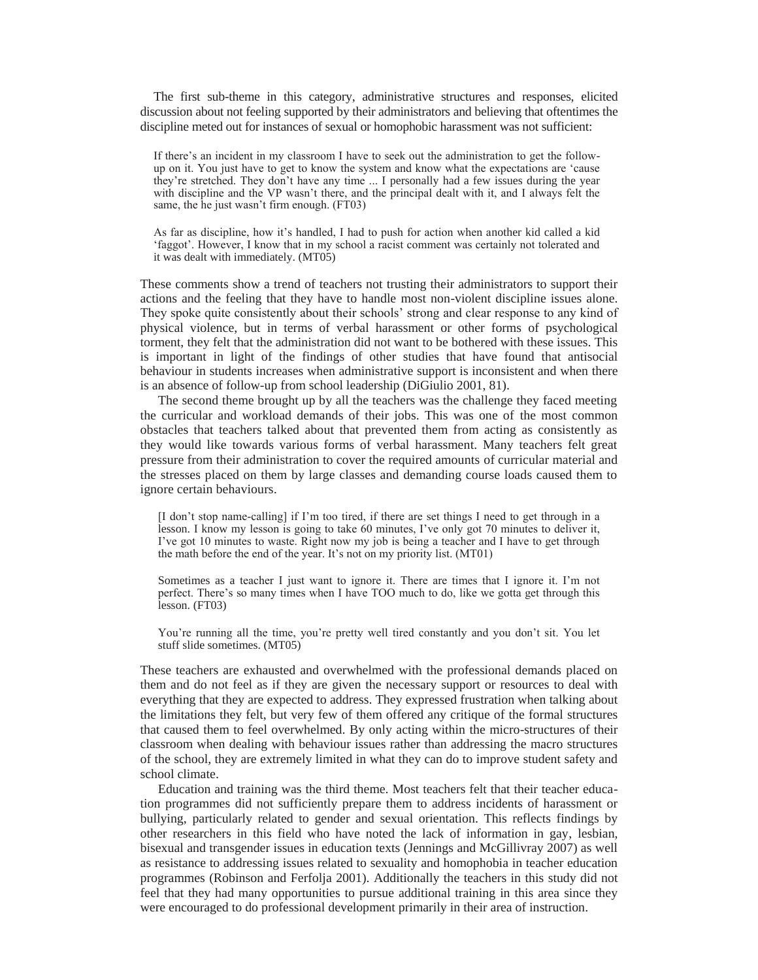The first sub-theme in this category, administrative structures and responses, elicited discussion about not feeling supported by their administrators and believing that oftentimes the discipline meted out for instances of sexual or homophobic harassment was not sufficient:

If there's an incident in my classroom I have to seek out the administration to get the followup on it. You just have to get to know the system and know what the expectations are 'cause they're stretched. They don't have any time ... I personally had a few issues during the year with discipline and the VP wasn't there, and the principal dealt with it, and I always felt the same, the he just wasn't firm enough. (FT03)

As far as discipline, how it's handled, I had to push for action when another kid called a kid 'faggot'. However, I know that in my school a racist comment was certainly not tolerated and it was dealt with immediately. (MT05)

These comments show a trend of teachers not trusting their administrators to support their actions and the feeling that they have to handle most non-violent discipline issues alone. They spoke quite consistently about their schools' strong and clear response to any kind of physical violence, but in terms of verbal harassment or other forms of psychological torment, they felt that the administration did not want to be bothered with these issues. This is important in light of the findings of other studies that have found that antisocial behaviour in students increases when administrative support is inconsistent and when there is an absence of follow-up from school leadership (DiGiulio 2001, 81).

The second theme brought up by all the teachers was the challenge they faced meeting the curricular and workload demands of their jobs. This was one of the most common obstacles that teachers talked about that prevented them from acting as consistently as they would like towards various forms of verbal harassment. Many teachers felt great pressure from their administration to cover the required amounts of curricular material and the stresses placed on them by large classes and demanding course loads caused them to ignore certain behaviours.

[I don't stop name-calling] if I'm too tired, if there are set things I need to get through in a lesson. I know my lesson is going to take 60 minutes, I've only got 70 minutes to deliver it, I've got 10 minutes to waste. Right now my job is being a teacher and I have to get through the math before the end of the year. It's not on my priority list. (MT01)

Sometimes as a teacher I just want to ignore it. There are times that I ignore it. I'm not perfect. There's so many times when I have TOO much to do, like we gotta get through this lesson. (FT03)

You're running all the time, you're pretty well tired constantly and you don't sit. You let stuff slide sometimes. (MT05)

These teachers are exhausted and overwhelmed with the professional demands placed on them and do not feel as if they are given the necessary support or resources to deal with everything that they are expected to address. They expressed frustration when talking about the limitations they felt, but very few of them offered any critique of the formal structures that caused them to feel overwhelmed. By only acting within the micro-structures of their classroom when dealing with behaviour issues rather than addressing the macro structures of the school, they are extremely limited in what they can do to improve student safety and school climate.

Education and training was the third theme. Most teachers felt that their teacher education programmes did not sufficiently prepare them to address incidents of harassment or bullying, particularly related to gender and sexual orientation. This reflects findings by other researchers in this field who have noted the lack of information in gay, lesbian, bisexual and transgender issues in education texts (Jennings and McGillivray 2007) as well as resistance to addressing issues related to sexuality and homophobia in teacher education programmes (Robinson and Ferfolja 2001). Additionally the teachers in this study did not feel that they had many opportunities to pursue additional training in this area since they were encouraged to do professional development primarily in their area of instruction.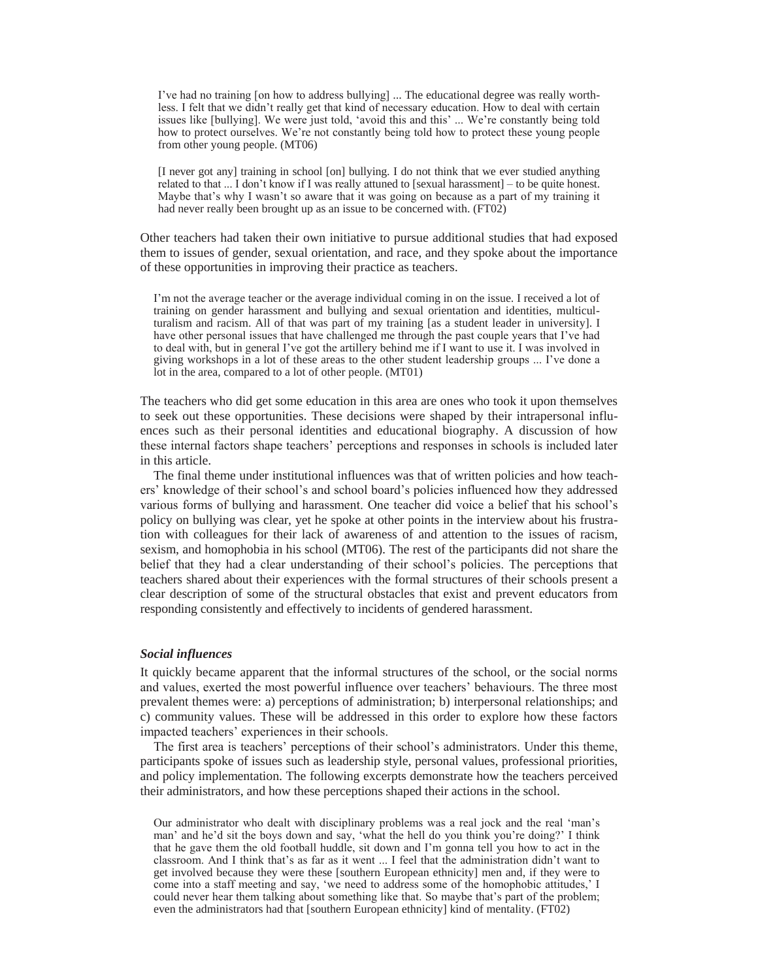I've had no training [on how to address bullying] ... The educational degree was really worthless. I felt that we didn't really get that kind of necessary education. How to deal with certain issues like [bullying]. We were just told, 'avoid this and this' ... We're constantly being told how to protect ourselves. We're not constantly being told how to protect these young people from other young people. (MT06)

[I never got any] training in school [on] bullying. I do not think that we ever studied anything related to that ... I don't know if I was really attuned to [sexual harassment] – to be quite honest. Maybe that's why I wasn't so aware that it was going on because as a part of my training it had never really been brought up as an issue to be concerned with. (FT02)

Other teachers had taken their own initiative to pursue additional studies that had exposed them to issues of gender, sexual orientation, and race, and they spoke about the importance of these opportunities in improving their practice as teachers.

I'm not the average teacher or the average individual coming in on the issue. I received a lot of training on gender harassment and bullying and sexual orientation and identities, multiculturalism and racism. All of that was part of my training [as a student leader in university]. I have other personal issues that have challenged me through the past couple years that I've had to deal with, but in general I've got the artillery behind me if I want to use it. I was involved in giving workshops in a lot of these areas to the other student leadership groups ... I've done a lot in the area, compared to a lot of other people. (MT01)

The teachers who did get some education in this area are ones who took it upon themselves to seek out these opportunities. These decisions were shaped by their intrapersonal influences such as their personal identities and educational biography. A discussion of how these internal factors shape teachers' perceptions and responses in schools is included later in this article.

The final theme under institutional influences was that of written policies and how teachers' knowledge of their school's and school board's policies influenced how they addressed various forms of bullying and harassment. One teacher did voice a belief that his school's policy on bullying was clear, yet he spoke at other points in the interview about his frustration with colleagues for their lack of awareness of and attention to the issues of racism, sexism, and homophobia in his school (MT06). The rest of the participants did not share the belief that they had a clear understanding of their school's policies. The perceptions that teachers shared about their experiences with the formal structures of their schools present a clear description of some of the structural obstacles that exist and prevent educators from responding consistently and effectively to incidents of gendered harassment.

## *Social influences*

It quickly became apparent that the informal structures of the school, or the social norms and values, exerted the most powerful influence over teachers' behaviours. The three most prevalent themes were: a) perceptions of administration; b) interpersonal relationships; and c) community values. These will be addressed in this order to explore how these factors impacted teachers' experiences in their schools.

The first area is teachers' perceptions of their school's administrators. Under this theme, participants spoke of issues such as leadership style, personal values, professional priorities, and policy implementation. The following excerpts demonstrate how the teachers perceived their administrators, and how these perceptions shaped their actions in the school.

Our administrator who dealt with disciplinary problems was a real jock and the real 'man's man' and he'd sit the boys down and say, 'what the hell do you think you're doing?' I think that he gave them the old football huddle, sit down and I'm gonna tell you how to act in the classroom. And I think that's as far as it went ... I feel that the administration didn't want to get involved because they were these [southern European ethnicity] men and, if they were to come into a staff meeting and say, 'we need to address some of the homophobic attitudes,' I could never hear them talking about something like that. So maybe that's part of the problem; even the administrators had that [southern European ethnicity] kind of mentality. (FT02)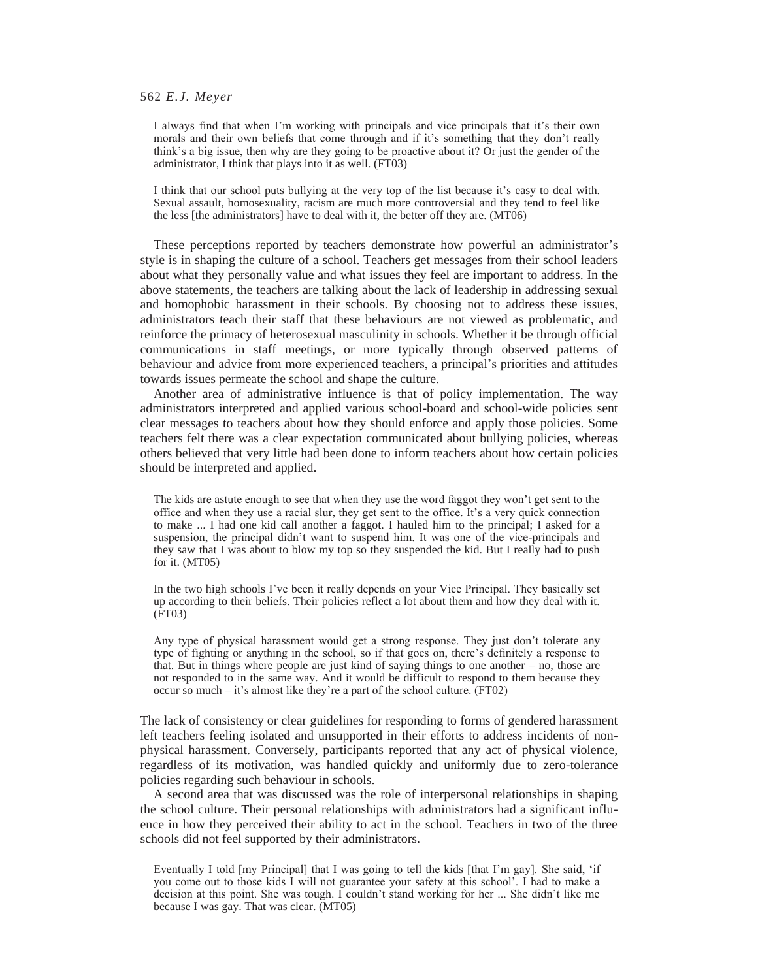### 562 *E.J. Meyer*

I always find that when I'm working with principals and vice principals that it's their own morals and their own beliefs that come through and if it's something that they don't really think's a big issue, then why are they going to be proactive about it? Or just the gender of the administrator, I think that plays into it as well. (FT03)

I think that our school puts bullying at the very top of the list because it's easy to deal with. Sexual assault, homosexuality, racism are much more controversial and they tend to feel like the less [the administrators] have to deal with it, the better off they are. (MT06)

These perceptions reported by teachers demonstrate how powerful an administrator's style is in shaping the culture of a school. Teachers get messages from their school leaders about what they personally value and what issues they feel are important to address. In the above statements, the teachers are talking about the lack of leadership in addressing sexual and homophobic harassment in their schools. By choosing not to address these issues, administrators teach their staff that these behaviours are not viewed as problematic, and reinforce the primacy of heterosexual masculinity in schools. Whether it be through official communications in staff meetings, or more typically through observed patterns of behaviour and advice from more experienced teachers, a principal's priorities and attitudes towards issues permeate the school and shape the culture.

Another area of administrative influence is that of policy implementation. The way administrators interpreted and applied various school-board and school-wide policies sent clear messages to teachers about how they should enforce and apply those policies. Some teachers felt there was a clear expectation communicated about bullying policies, whereas others believed that very little had been done to inform teachers about how certain policies should be interpreted and applied.

The kids are astute enough to see that when they use the word faggot they won't get sent to the office and when they use a racial slur, they get sent to the office. It's a very quick connection to make ... I had one kid call another a faggot. I hauled him to the principal; I asked for a suspension, the principal didn't want to suspend him. It was one of the vice-principals and they saw that I was about to blow my top so they suspended the kid. But I really had to push for it. (MT05)

In the two high schools I've been it really depends on your Vice Principal. They basically set up according to their beliefs. Their policies reflect a lot about them and how they deal with it. (FT03)

Any type of physical harassment would get a strong response. They just don't tolerate any type of fighting or anything in the school, so if that goes on, there's definitely a response to that. But in things where people are just kind of saying things to one another – no, those are not responded to in the same way. And it would be difficult to respond to them because they occur so much – it's almost like they're a part of the school culture. (FT02)

The lack of consistency or clear guidelines for responding to forms of gendered harassment left teachers feeling isolated and unsupported in their efforts to address incidents of nonphysical harassment. Conversely, participants reported that any act of physical violence, regardless of its motivation, was handled quickly and uniformly due to zero-tolerance policies regarding such behaviour in schools.

A second area that was discussed was the role of interpersonal relationships in shaping the school culture. Their personal relationships with administrators had a significant influence in how they perceived their ability to act in the school. Teachers in two of the three schools did not feel supported by their administrators.

Eventually I told [my Principal] that I was going to tell the kids [that I'm gay]. She said, 'if you come out to those kids I will not guarantee your safety at this school'. I had to make a decision at this point. She was tough. I couldn't stand working for her ... She didn't like me because I was gay. That was clear. (MT05)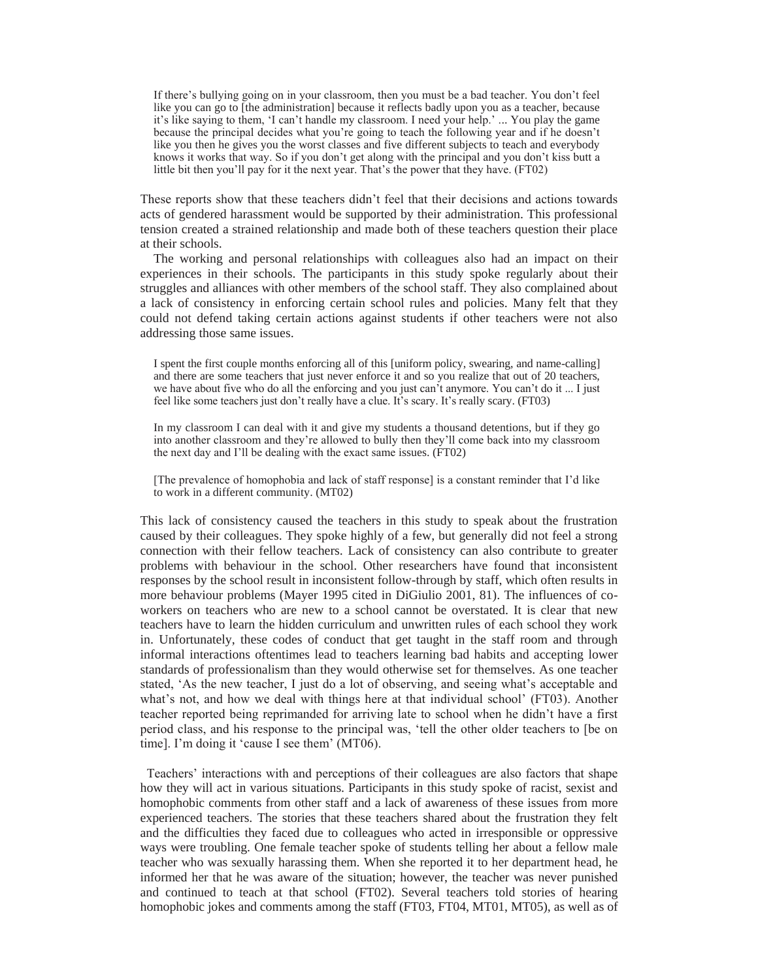If there's bullying going on in your classroom, then you must be a bad teacher. You don't feel like you can go to [the administration] because it reflects badly upon you as a teacher, because it's like saying to them, 'I can't handle my classroom. I need your help.' ... You play the game because the principal decides what you're going to teach the following year and if he doesn't like you then he gives you the worst classes and five different subjects to teach and everybody knows it works that way. So if you don't get along with the principal and you don't kiss butt a little bit then you'll pay for it the next year. That's the power that they have. (FT02)

These reports show that these teachers didn't feel that their decisions and actions towards acts of gendered harassment would be supported by their administration. This professional tension created a strained relationship and made both of these teachers question their place at their schools.

The working and personal relationships with colleagues also had an impact on their experiences in their schools. The participants in this study spoke regularly about their struggles and alliances with other members of the school staff. They also complained about a lack of consistency in enforcing certain school rules and policies. Many felt that they could not defend taking certain actions against students if other teachers were not also addressing those same issues.

I spent the first couple months enforcing all of this [uniform policy, swearing, and name-calling] and there are some teachers that just never enforce it and so you realize that out of 20 teachers, we have about five who do all the enforcing and you just can't anymore. You can't do it ... I just feel like some teachers just don't really have a clue. It's scary. It's really scary. (FT03)

In my classroom I can deal with it and give my students a thousand detentions, but if they go into another classroom and they're allowed to bully then they'll come back into my classroom the next day and I'll be dealing with the exact same issues. (FT02)

[The prevalence of homophobia and lack of staff response] is a constant reminder that I'd like to work in a different community. (MT02)

This lack of consistency caused the teachers in this study to speak about the frustration caused by their colleagues. They spoke highly of a few, but generally did not feel a strong connection with their fellow teachers. Lack of consistency can also contribute to greater problems with behaviour in the school. Other researchers have found that inconsistent responses by the school result in inconsistent follow-through by staff, which often results in more behaviour problems (Mayer 1995 cited in DiGiulio 2001, 81). The influences of coworkers on teachers who are new to a school cannot be overstated. It is clear that new teachers have to learn the hidden curriculum and unwritten rules of each school they work in. Unfortunately, these codes of conduct that get taught in the staff room and through informal interactions oftentimes lead to teachers learning bad habits and accepting lower standards of professionalism than they would otherwise set for themselves. As one teacher stated, 'As the new teacher, I just do a lot of observing, and seeing what's acceptable and what's not, and how we deal with things here at that individual school' (FT03). Another teacher reported being reprimanded for arriving late to school when he didn't have a first period class, and his response to the principal was, 'tell the other older teachers to [be on time]. I'm doing it 'cause I see them' (MT06).

 Teachers' interactions with and perceptions of their colleagues are also factors that shape how they will act in various situations. Participants in this study spoke of racist, sexist and homophobic comments from other staff and a lack of awareness of these issues from more experienced teachers. The stories that these teachers shared about the frustration they felt and the difficulties they faced due to colleagues who acted in irresponsible or oppressive ways were troubling. One female teacher spoke of students telling her about a fellow male teacher who was sexually harassing them. When she reported it to her department head, he informed her that he was aware of the situation; however, the teacher was never punished and continued to teach at that school (FT02). Several teachers told stories of hearing homophobic jokes and comments among the staff (FT03, FT04, MT01, MT05), as well as of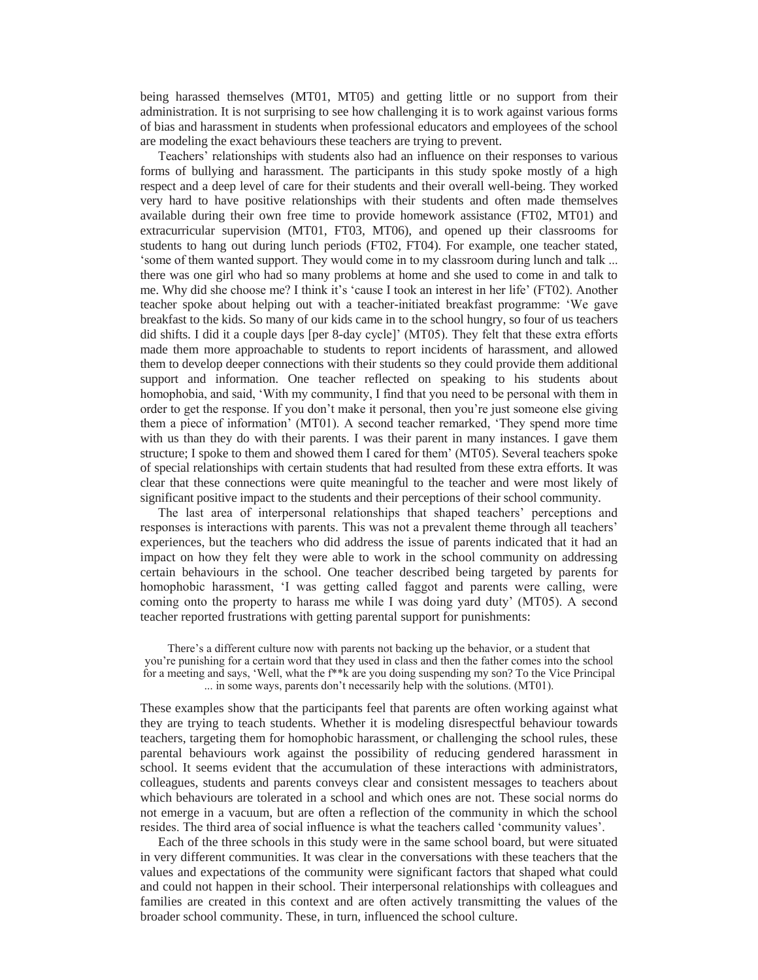being harassed themselves (MT01, MT05) and getting little or no support from their administration. It is not surprising to see how challenging it is to work against various forms of bias and harassment in students when professional educators and employees of the school are modeling the exact behaviours these teachers are trying to prevent.

Teachers' relationships with students also had an influence on their responses to various forms of bullying and harassment. The participants in this study spoke mostly of a high respect and a deep level of care for their students and their overall well-being. They worked very hard to have positive relationships with their students and often made themselves available during their own free time to provide homework assistance (FT02, MT01) and extracurricular supervision (MT01, FT03, MT06), and opened up their classrooms for students to hang out during lunch periods (FT02, FT04). For example, one teacher stated, 'some of them wanted support. They would come in to my classroom during lunch and talk ... there was one girl who had so many problems at home and she used to come in and talk to me. Why did she choose me? I think it's 'cause I took an interest in her life' (FT02). Another teacher spoke about helping out with a teacher-initiated breakfast programme: 'We gave breakfast to the kids. So many of our kids came in to the school hungry, so four of us teachers did shifts. I did it a couple days [per 8-day cycle]' (MT05). They felt that these extra efforts made them more approachable to students to report incidents of harassment, and allowed them to develop deeper connections with their students so they could provide them additional support and information. One teacher reflected on speaking to his students about homophobia, and said, 'With my community, I find that you need to be personal with them in order to get the response. If you don't make it personal, then you're just someone else giving them a piece of information' (MT01). A second teacher remarked, 'They spend more time with us than they do with their parents. I was their parent in many instances. I gave them structure; I spoke to them and showed them I cared for them' (MT05). Several teachers spoke of special relationships with certain students that had resulted from these extra efforts. It was clear that these connections were quite meaningful to the teacher and were most likely of significant positive impact to the students and their perceptions of their school community.

The last area of interpersonal relationships that shaped teachers' perceptions and responses is interactions with parents. This was not a prevalent theme through all teachers' experiences, but the teachers who did address the issue of parents indicated that it had an impact on how they felt they were able to work in the school community on addressing certain behaviours in the school. One teacher described being targeted by parents for homophobic harassment, 'I was getting called faggot and parents were calling, were coming onto the property to harass me while I was doing yard duty' (MT05). A second teacher reported frustrations with getting parental support for punishments:

There's a different culture now with parents not backing up the behavior, or a student that you're punishing for a certain word that they used in class and then the father comes into the school for a meeting and says, 'Well, what the f\*\*k are you doing suspending my son? To the Vice Principal ... in some ways, parents don't necessarily help with the solutions. (MT01).

These examples show that the participants feel that parents are often working against what they are trying to teach students. Whether it is modeling disrespectful behaviour towards teachers, targeting them for homophobic harassment, or challenging the school rules, these parental behaviours work against the possibility of reducing gendered harassment in school. It seems evident that the accumulation of these interactions with administrators, colleagues, students and parents conveys clear and consistent messages to teachers about which behaviours are tolerated in a school and which ones are not. These social norms do not emerge in a vacuum, but are often a reflection of the community in which the school resides. The third area of social influence is what the teachers called 'community values'.

Each of the three schools in this study were in the same school board, but were situated in very different communities. It was clear in the conversations with these teachers that the values and expectations of the community were significant factors that shaped what could and could not happen in their school. Their interpersonal relationships with colleagues and families are created in this context and are often actively transmitting the values of the broader school community. These, in turn, influenced the school culture.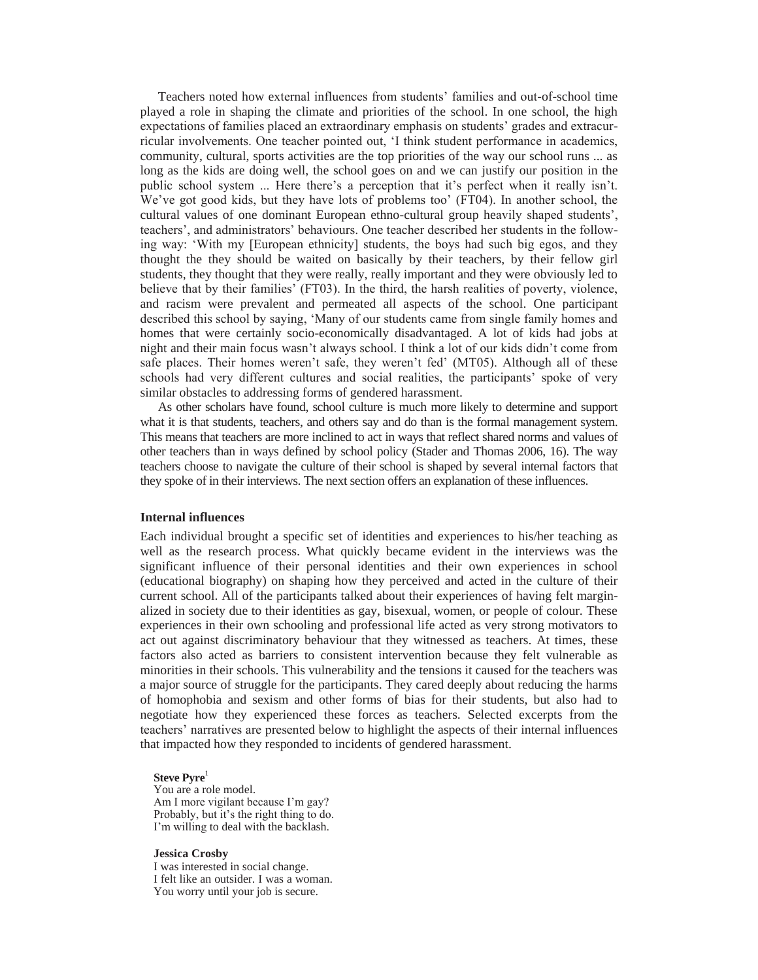Teachers noted how external influences from students' families and out-of-school time played a role in shaping the climate and priorities of the school. In one school, the high expectations of families placed an extraordinary emphasis on students' grades and extracurricular involvements. One teacher pointed out, 'I think student performance in academics, community, cultural, sports activities are the top priorities of the way our school runs ... as long as the kids are doing well, the school goes on and we can justify our position in the public school system ... Here there's a perception that it's perfect when it really isn't. We've got good kids, but they have lots of problems too' (FT04). In another school, the cultural values of one dominant European ethno-cultural group heavily shaped students', teachers', and administrators' behaviours. One teacher described her students in the following way: 'With my [European ethnicity] students, the boys had such big egos, and they thought the they should be waited on basically by their teachers, by their fellow girl students, they thought that they were really, really important and they were obviously led to believe that by their families' (FT03). In the third, the harsh realities of poverty, violence, and racism were prevalent and permeated all aspects of the school. One participant described this school by saying, 'Many of our students came from single family homes and homes that were certainly socio-economically disadvantaged. A lot of kids had jobs at night and their main focus wasn't always school. I think a lot of our kids didn't come from safe places. Their homes weren't safe, they weren't fed' (MT05). Although all of these schools had very different cultures and social realities, the participants' spoke of very similar obstacles to addressing forms of gendered harassment.

As other scholars have found, school culture is much more likely to determine and support what it is that students, teachers, and others say and do than is the formal management system. This means that teachers are more inclined to act in ways that reflect shared norms and values of other teachers than in ways defined by school policy (Stader and Thomas 2006, 16). The way teachers choose to navigate the culture of their school is shaped by several internal factors that they spoke of in their interviews. The next section offers an explanation of these influences.

## **Internal influences**

Each individual brought a specific set of identities and experiences to his/her teaching as well as the research process. What quickly became evident in the interviews was the significant influence of their personal identities and their own experiences in school (educational biography) on shaping how they perceived and acted in the culture of their current school. All of the participants talked about their experiences of having felt marginalized in society due to their identities as gay, bisexual, women, or people of colour. These experiences in their own schooling and professional life acted as very strong motivators to act out against discriminatory behaviour that they witnessed as teachers. At times, these factors also acted as barriers to consistent intervention because they felt vulnerable as minorities in their schools. This vulnerability and the tensions it caused for the teachers was a major source of struggle for the participants. They cared deeply about reducing the harms of homophobia and sexism and other forms of bias for their students, but also had to negotiate how they experienced these forces as teachers. Selected excerpts from the teachers' narratives are presented below to highlight the aspects of their internal influences that impacted how they responded to incidents of gendered harassment.

### **Steve Pyre**<sup>1</sup>

You are a role model. Am I more vigilant because I'm gay? Probably, but it's the right thing to do. I'm willing to deal with the backlash.

### **Jessica Crosby**

I was interested in social change. I felt like an outsider. I was a woman. You worry until your job is secure.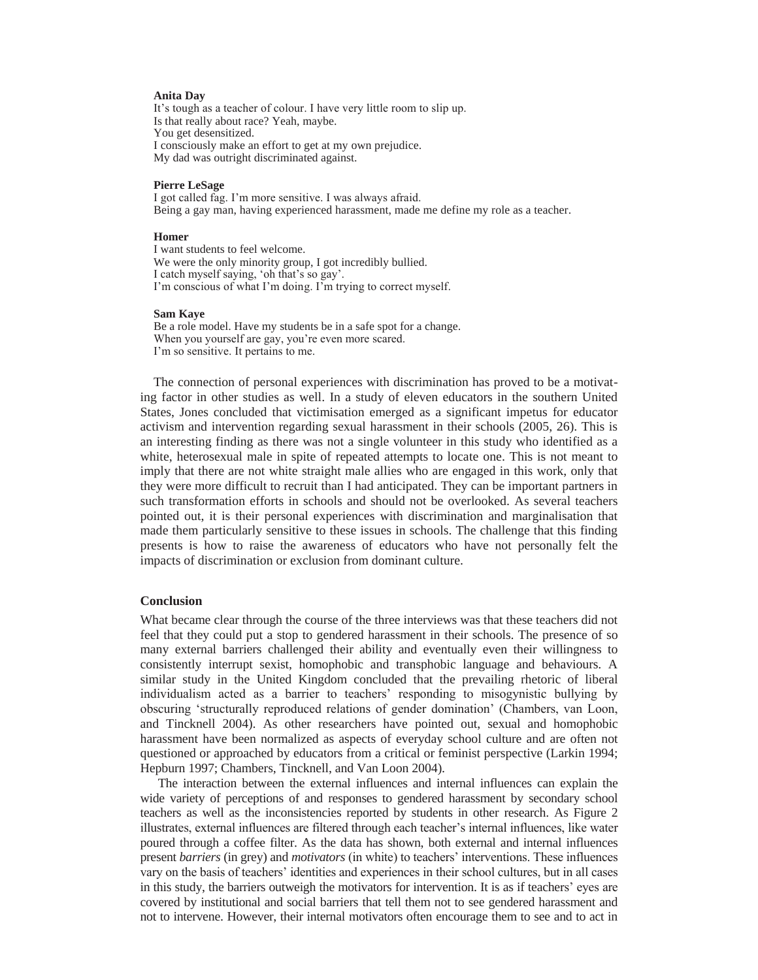#### **Anita Day**

It's tough as a teacher of colour. I have very little room to slip up. Is that really about race? Yeah, maybe. You get desensitized. I consciously make an effort to get at my own prejudice. My dad was outright discriminated against.

#### **Pierre LeSage**

I got called fag. I'm more sensitive. I was always afraid. Being a gay man, having experienced harassment, made me define my role as a teacher.

#### **Homer**

I want students to feel welcome. We were the only minority group, I got incredibly bullied. I catch myself saying, 'oh that's so gay'. I'm conscious of what I'm doing. I'm trying to correct myself.

#### **Sam Kaye**

Be a role model. Have my students be in a safe spot for a change. When you yourself are gay, you're even more scared. I'm so sensitive. It pertains to me.

The connection of personal experiences with discrimination has proved to be a motivating factor in other studies as well. In a study of eleven educators in the southern United States, Jones concluded that victimisation emerged as a significant impetus for educator activism and intervention regarding sexual harassment in their schools (2005, 26). This is an interesting finding as there was not a single volunteer in this study who identified as a white, heterosexual male in spite of repeated attempts to locate one. This is not meant to imply that there are not white straight male allies who are engaged in this work, only that they were more difficult to recruit than I had anticipated. They can be important partners in such transformation efforts in schools and should not be overlooked. As several teachers pointed out, it is their personal experiences with discrimination and marginalisation that made them particularly sensitive to these issues in schools. The challenge that this finding presents is how to raise the awareness of educators who have not personally felt the impacts of discrimination or exclusion from dominant culture.

### **Conclusion**

What became clear through the course of the three interviews was that these teachers did not feel that they could put a stop to gendered harassment in their schools. The presence of so many external barriers challenged their ability and eventually even their willingness to consistently interrupt sexist, homophobic and transphobic language and behaviours. A similar study in the United Kingdom concluded that the prevailing rhetoric of liberal individualism acted as a barrier to teachers' responding to misogynistic bullying by obscuring 'structurally reproduced relations of gender domination' (Chambers, van Loon, and Tincknell 2004). As other researchers have pointed out, sexual and homophobic harassment have been normalized as aspects of everyday school culture and are often not questioned or approached by educators from a critical or feminist perspective (Larkin 1994; Hepburn 1997; Chambers, Tincknell, and Van Loon 2004).

The interaction between the external influences and internal influences can explain the wide variety of perceptions of and responses to gendered harassment by secondary school teachers as well as the inconsistencies reported by students in other research. As Figure 2 illustrates, external influences are filtered through each teacher's internal influences, like water poured through a coffee filter. As the data has shown, both external and internal influences present *barriers* (in grey) and *motivators* (in white) to teachers' interventions. These influences vary on the basis of teachers' identities and experiences in their school cultures, but in all cases in this study, the barriers outweigh the motivators for intervention. It is as if teachers' eyes are covered by institutional and social barriers that tell them not to see gendered harassment and not to intervene. However, their internal motivators often encourage them to see and to act in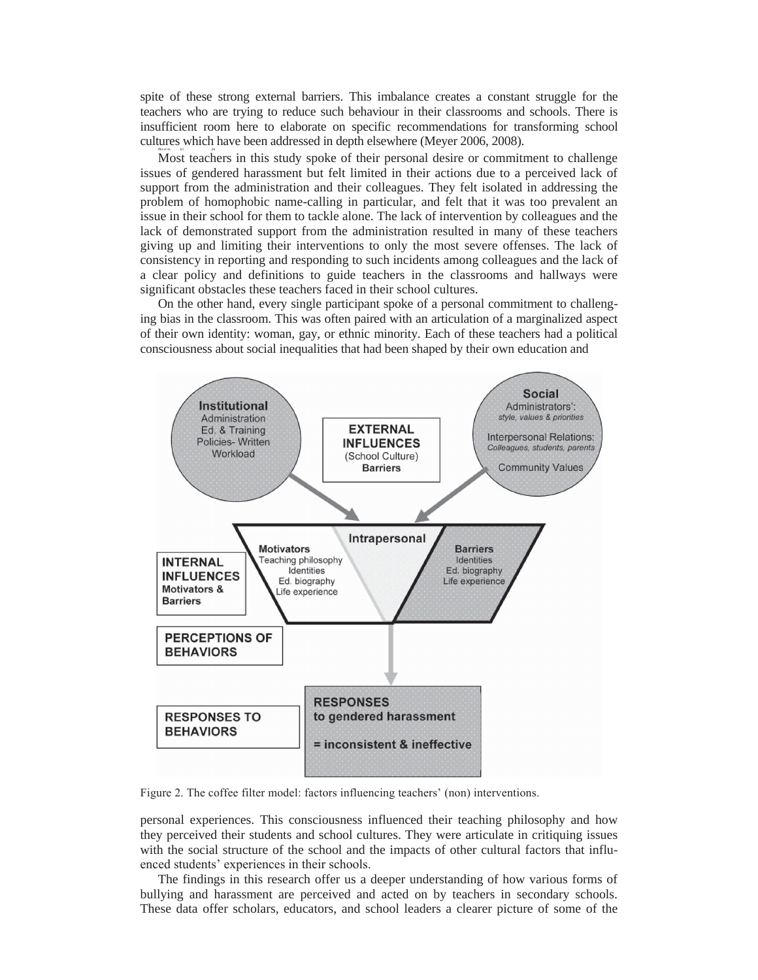spite of these strong external barriers. This imbalance creates a constant struggle for the teachers who are trying to reduce such behaviour in their classrooms and schools. There is insufficient room here to elaborate on specific recommendations for transforming school cultures which have been addressed in depth elsewhere (Meyer 2006, 2008).

Most teachers in this study spoke of their personal desire or commitment to challenge issues of gendered harassment but felt limited in their actions due to a perceived lack of support from the administration and their colleagues. They felt isolated in addressing the problem of homophobic name-calling in particular, and felt that it was too prevalent an issue in their school for them to tackle alone. The lack of intervention by colleagues and the lack of demonstrated support from the administration resulted in many of these teachers giving up and limiting their interventions to only the most severe offenses. The lack of consistency in reporting and responding to such incidents among colleagues and the lack of a clear policy and definitions to guide teachers in the classrooms and hallways were significant obstacles these teachers faced in their school cultures.

On the other hand, every single participant spoke of a personal commitment to challenging bias in the classroom. This was often paired with an articulation of a marginalized aspect of their own identity: woman, gay, or ethnic minority. Each of these teachers had a political consciousness about social inequalities that had been shaped by their own education and



Figure 2. The coffee filter model: factors influencing teachers' (non) interventions.

personal experiences. This consciousness influenced their teaching philosophy and how they perceived their students and school cultures. They were articulate in critiquing issues with the social structure of the school and the impacts of other cultural factors that influenced students' experiences in their schools.

The findings in this research offer us a deeper understanding of how various forms of bullying and harassment are perceived and acted on by teachers in secondary schools. These data offer scholars, educators, and school leaders a clearer picture of some of the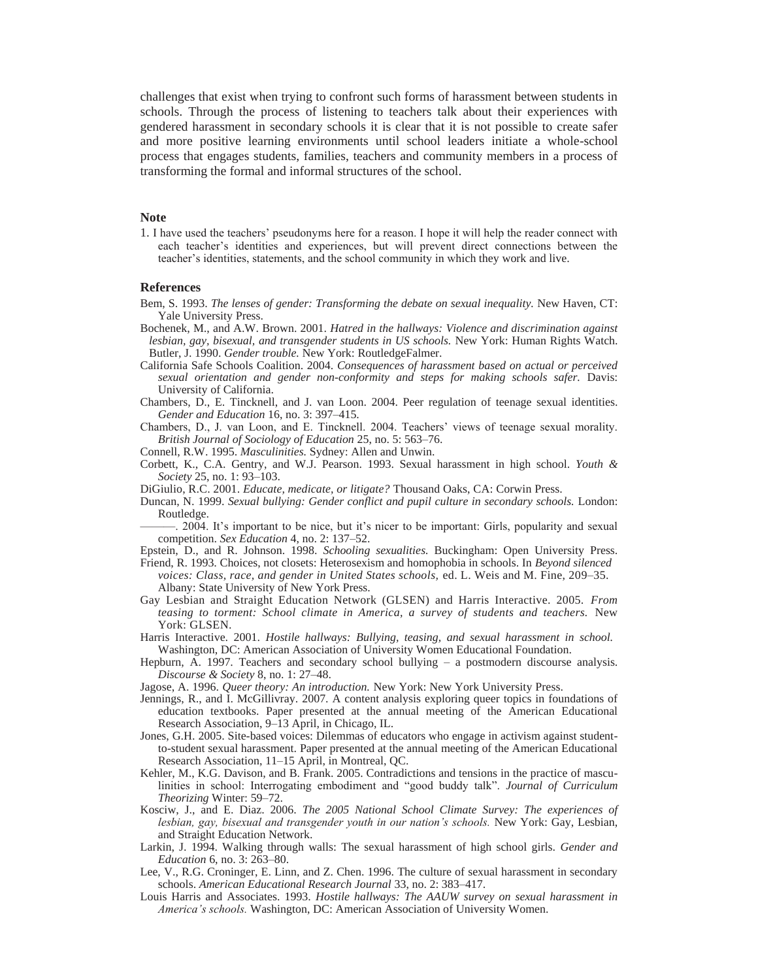challenges that exist when trying to confront such forms of harassment between students in schools. Through the process of listening to teachers talk about their experiences with gendered harassment in secondary schools it is clear that it is not possible to create safer and more positive learning environments until school leaders initiate a whole-school process that engages students, families, teachers and community members in a process of transforming the formal and informal structures of the school.

#### **Note**

1. I have used the teachers' pseudonyms here for a reason. I hope it will help the reader connect with each teacher's identities and experiences, but will prevent direct connections between the teacher's identities, statements, and the school community in which they work and live.

## **References**

- Bem, S. 1993. *The lenses of gender: Transforming the debate on sexual inequality*. New Haven, CT: Yale University Press.
- Bochenek, M., and A.W. Brown. 2001. *Hatred in the hallways: Violence and discrimination against*  lesbian, gay, bisexual, and transgender students in US schools. New York: Human Rights Watch. Butler, J. 1990. *Gender trouble.* New York: RoutledgeFalmer.
- California Safe Schools Coalition. 2004. *Consequences of harassment based on actual or perceived sexual orientation and gender non-conformity and steps for making schools safer.* Davis: University of California.
- Chambers, D., E. Tincknell, and J. van Loon. 2004. Peer regulation of teenage sexual identities. *Gender and Education* 16, no. 3: 397–415.
- Chambers, D., J. van Loon, and E. Tincknell. 2004. Teachers' views of teenage sexual morality. *British Journal of Sociology of Education* 25, no. 5: 563–76.
- Connell, R.W. 1995. *Masculinities.* Sydney: Allen and Unwin.
- Corbett, K., C.A. Gentry, and W.J. Pearson. 1993. Sexual harassment in high school. *Youth & Society* 25, no. 1: 93–103.
- DiGiulio, R.C. 2001. *Educate, medicate, or litigate?* Thousand Oaks, CA: Corwin Press.
- Duncan, N. 1999. *Sexual bullying: Gender conflict and pupil culture in secondary schools.* London: Routledge.
- ———. 2004. It's important to be nice, but it's nicer to be important: Girls, popularity and sexual competition. *Sex Education* 4, no. 2: 137–52.
- Epstein, D., and R. Johnson. 1998. *Schooling sexualities.* Buckingham: Open University Press.
- Friend, R. 1993. Choices, not closets: Heterosexism and homophobia in schools. In *Beyond silenced voices: Class, race, and gender in United States schools,* ed. L. Weis and M. Fine, 209–35. Albany: State University of New York Press.
- Gay Lesbian and Straight Education Network (GLSEN) and Harris Interactive. 2005. *From teasing to torment: School climate in America, a survey of students and teachers. New* York: GLSEN.
- Harris Interactive. 2001. *Hostile hallways: Bullying, teasing, and sexual harassment in school.*  Washington, DC: American Association of University Women Educational Foundation.
- Hepburn, A. 1997. Teachers and secondary school bullying a postmodern discourse analysis. *Discourse & Society* 8, no. 1: 27–48.
- Jagose, A. 1996. *Queer theory: An introduction.* New York: New York University Press.
- Jennings, R., and I. McGillivray. 2007. A content analysis exploring queer topics in foundations of education textbooks. Paper presented at the annual meeting of the American Educational Research Association, 9–13 April, in Chicago, IL.
- Jones, G.H. 2005. Site-based voices: Dilemmas of educators who engage in activism against studentto-student sexual harassment. Paper presented at the annual meeting of the American Educational Research Association, 11–15 April, in Montreal, QC.
- Kehler, M., K.G. Davison, and B. Frank. 2005. Contradictions and tensions in the practice of masculinities in school: Interrogating embodiment and "good buddy talk". *Journal of Curriculum Theorizing* Winter: 59–72.
- Kosciw, J., and E. Diaz. 2006. *The 2005 National School Climate Survey: The experiences of lesbian, gay, bisexual and transgender youth in our nation's schools.* New York: Gay, Lesbian, and Straight Education Network.
- Larkin, J. 1994. Walking through walls: The sexual harassment of high school girls. *Gender and Education* 6, no. 3: 263–80.
- Lee, V., R.G. Croninger, E. Linn, and Z. Chen. 1996. The culture of sexual harassment in secondary schools. *American Educational Research Journal* 33, no. 2: 383–417.
- Louis Harris and Associates. 1993. *Hostile hallways: The AAUW survey on sexual harassment in America's schools.* Washington, DC: American Association of University Women.